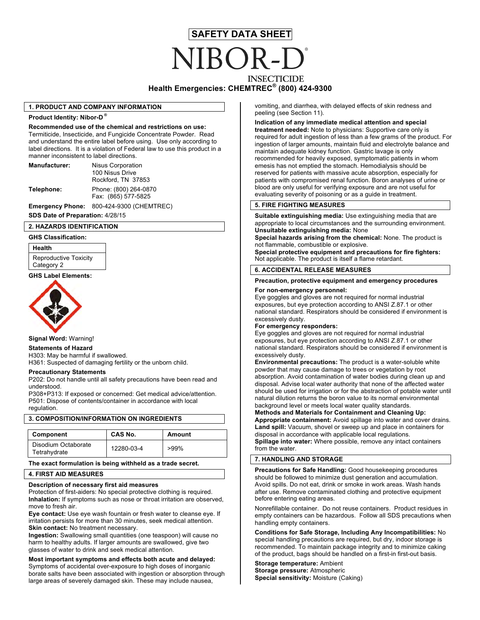# **SAFETY DATA SHEET INSECTICIDE**

## **Health Emergencies: CHEMTREC® (800) 424-9300**

#### **1. PRODUCT AND COMPANY INFORMATION**

#### **Product Identity: Nibor-D ®**

**Recommended use of the chemical and restrictions on use:** Termiticide, Insecticide, and Fungicide Concentrate Powder. Read and understand the entire label before using. Use only according to label directions. It is a violation of Federal law to use this product in a manner inconsistent to label directions.

| Manufacturer: | <b>Nisus Corporation</b>                     |  |
|---------------|----------------------------------------------|--|
|               | 100 Nisus Drive                              |  |
|               | Rockford, TN 37853                           |  |
| Telephone:    | Phone: (800) 264-0870<br>Fax: (865) 577-5825 |  |
|               |                                              |  |

**Emergency Phone:** 800-424-9300 (CHEMTREC)

# **SDS Date of Preparation:** 4/28/15

#### **2. HAZARDS IDENTIFICATION**

#### **GHS Classification:**

**Health** Reproductive Toxicity Category 2



**Signal Word:** Warning!

#### **Statements of Hazard**

H303: May be harmful if swallowed. H361: Suspected of damaging fertility or the unborn child.

#### **Precautionary Statements**

P202: Do not handle until all safety precautions have been read and understood.

P308+P313: If exposed or concerned: Get medical advice/attention. P501: Dispose of contents/container in accordance with local regulation.

#### **3. COMPOSITION/INFORMATION ON INGREDIENTS**

| Component                           | CAS No.    | Amount  |
|-------------------------------------|------------|---------|
| Disodium Octaborate<br>Tetrahydrate | 12280-03-4 | $>99\%$ |

#### **The exact formulation is being withheld as a trade secret.**

#### **4. FIRST AID MEASURES**

#### **Description of necessary first aid measures**

Protection of first-aiders: No special protective clothing is required. **Inhalation:** If symptoms such as nose or throat irritation are observed, move to fresh air.

**Eye contact:** Use eye wash fountain or fresh water to cleanse eye. If irritation persists for more than 30 minutes, seek medical attention. **Skin contact:** No treatment necessary.

**Ingestion:** Swallowing small quantities (one teaspoon) will cause no harm to healthy adults. If larger amounts are swallowed, give two glasses of water to drink and seek medical attention.

**Most important symptoms and effects both acute and delayed:**  Symptoms of accidental over-exposure to high doses of inorganic borate salts have been associated with ingestion or absorption through large areas of severely damaged skin. These may include nausea,

vomiting, and diarrhea, with delayed effects of skin redness and peeling (see Section 11).

#### **Indication of any immediate medical attention and special**

**treatment needed:** Note to physicians: Supportive care only is required for adult ingestion of less than a few grams of the product. For ingestion of larger amounts, maintain fluid and electrolyte balance and maintain adequate kidney function. Gastric lavage is only recommended for heavily exposed, symptomatic patients in whom emesis has not emptied the stomach. Hemodialysis should be reserved for patients with massive acute absorption, especially for patients with compromised renal function. Boron analyses of urine or blood are only useful for verifying exposure and are not useful for evaluating severity of poisoning or as a guide in treatment.

#### **5. FIRE FIGHTING MEASURES**

**Suitable extinguishing media:** Use extinguishing media that are appropriate to local circumstances and the surrounding environment. **Unsuitable extinguishing media:** None **Special hazards arising from the chemical:** None. The product is

not flammable, combustible or explosive.

**Special protective equipment and precautions for fire fighters:**  Not applicable. The product is itself a flame retardant.

### **6. ACCIDENTAL RELEASE MEASURES**

# GHS Label Elements:<br> **Precaution, protective equipment and emergency procedures**

#### **For non-emergency personnel:**

Eye goggles and gloves are not required for normal industrial exposures, but eye protection according to ANSI Z.87.1 or other national standard. Respirators should be considered if environment is excessively dusty.

#### **For emergency responders:**

Eye goggles and gloves are not required for normal industrial exposures, but eye protection according to ANSI Z.87.1 or other national standard. Respirators should be considered if environment is excessively dusty.

**Environmental precautions:** The product is a water-soluble white powder that may cause damage to trees or vegetation by root absorption. Avoid contamination of water bodies during clean up and disposal. Advise local water authority that none of the affected water should be used for irrigation or for the abstraction of potable water until natural dilution returns the boron value to its normal environmental background level or meets local water quality standards.

**Methods and Materials for Containment and Cleaning Up: Appropriate containment:** Avoid spillage into water and cover drains. **Land spill:** Vacuum, shovel or sweep up and place in containers for disposal in accordance with applicable local regulations. **Spillage into water:** Where possible, remove any intact containers from the water.

#### **7. HANDLING AND STORAGE**

**Precautions for Safe Handling:** Good housekeeping procedures should be followed to minimize dust generation and accumulation. Avoid spills. Do not eat, drink or smoke in work areas. Wash hands after use. Remove contaminated clothing and protective equipment before entering eating areas.

Nonrefillable container. Do not reuse containers. Product residues in empty containers can be hazardous. Follow all SDS precautions when handling empty containers.

**Conditions for Safe Storage, Including Any Incompatibilities:** No special handling precautions are required, but dry, indoor storage is recommended. To maintain package integrity and to minimize caking of the product, bags should be handled on a first-in first-out basis.

**Storage temperature:** Ambient **Storage pressure:** Atmospheric **Special sensitivity:** Moisture (Caking)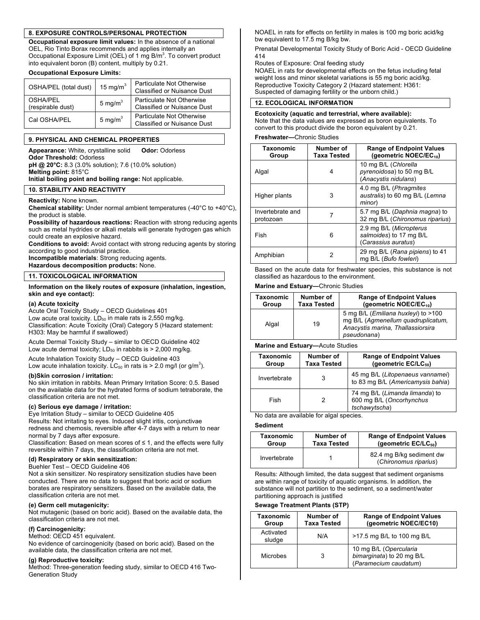#### **8. EXPOSURE CONTROLS/PERSONAL PROTECTION**

**Occupational exposure limit values:** In the absence of a national OEL, Rio Tinto Borax recommends and applies internally an Occupational Exposure Limit (OEL) of 1 mg B/m<sup>3</sup>. To convert product into equivalent boron (B) content, multiply by 0.21.

#### **Occupational Exposure Limits:**

| OSHA/PEL (total dust)         | 15 mg/m $3$ | Particulate Not Otherwise<br><b>Classified or Nuisance Dust</b> |
|-------------------------------|-------------|-----------------------------------------------------------------|
| OSHA/PEL<br>(respirable dust) | 5 mg/ $m3$  | Particulate Not Otherwise<br><b>Classified or Nuisance Dust</b> |
| Cal OSHA/PEL                  | 5 mg/ $m^3$ | Particulate Not Otherwise<br><b>Classified or Nuisance Dust</b> |

#### **9. PHYSICAL AND CHEMICAL PROPERTIES**

**Appearance:** White, crystalline solid **Odor:** Odorless

**Odor Threshold:** Odorless **pH @ 20°C:** 8.3 (3.0% solution); 7.6 (10.0% solution) **Melting point:** 815°C **Initial boiling point and boiling range:** Not applicable.

#### **10. STABILITY AND REACTIVITY**

#### **Reactivity:** None known.

**Chemical stability:** Under normal ambient temperatures (-40°C to +40°C), the product is stable.

**Possibility of hazardous reactions:** Reaction with strong reducing agents such as metal hydrides or alkali metals will generate hydrogen gas which could create an explosive hazard.

**Conditions to avoid:** Avoid contact with strong reducing agents by storing according to good industrial practice.

**Incompatible materials**: Strong reducing agents.

**Hazardous decomposition products:** None.

#### **11. TOXICOLOGICAL INFORMATION**

#### **Information on the likely routes of exposure (inhalation, ingestion, skin and eye contact):**

#### **(a) Acute toxicity**

Acute Oral Toxicity Study – OECD Guidelines 401 Low acute oral toxicity.  $LD_{50}$  in male rats is 2,550 mg/kg. Classification: Acute Toxicity (Oral) Category 5 (Hazard statement: H303: May be harmful if swallowed)

Acute Dermal Toxicity Study – similar to OECD Guideline 402 Low acute dermal toxicity;  $LD_{50}$  in rabbits is  $> 2,000$  mg/kg.

Acute Inhalation Toxicity Study – OECD Guideline 403 Low acute inhalation toxicity. LC<sub>50</sub> in rats is > 2.0 mg/l (or g/m<sup>3</sup>).

#### **(b)Skin corrosion / irritation:**

No skin irritation in rabbits. Mean Primary Irritation Score: 0.5. Based on the available data for the hydrated forms of sodium tetraborate, the classification criteria are not met.

#### **(c) Serious eye damage / irritation:**

Eye Irritation Study – similar to OECD Guideline 405 Results: Not irritating to eyes. Induced slight iritis, conjunctivae redness and chemosis, reversible after 4-7 days with a return to near normal by 7 days after exposure.

Classification: Based on mean scores of  $\leq$  1, and the effects were fully reversible within 7 days, the classification criteria are not met.

#### **(d) Respiratory or skin sensitization:**

Buehler Test – OECD Guideline 406

Not a skin sensitizer. No respiratory sensitization studies have been conducted. There are no data to suggest that boric acid or sodium borates are respiratory sensitizers. Based on the available data, the classification criteria are not met.

#### **(e) Germ cell mutagenicity:**

Not mutagenic (based on boric acid). Based on the available data, the classification criteria are not met.

#### **(f) Carcinogenicity:**

#### Method: OECD 451 equivalent.

No evidence of carcinogenicity (based on boric acid). Based on the available data, the classification criteria are not met.

#### **(g) Reproductive toxicity:**

Method: Three-generation feeding study, similar to OECD 416 Two-Generation Study

NOAEL in rats for effects on fertility in males is 100 mg boric acid/kg bw equivalent to 17.5 mg B/kg bw.

Prenatal Developmental Toxicity Study of Boric Acid - OECD Guideline 414

Routes of Exposure: Oral feeding study

NOAEL in rats for developmental effects on the fetus including fetal weight loss and minor skeletal variations is 55 mg boric acid/kg. Reproductive Toxicity Category 2 (Hazard statement: H361: Suspected of damaging fertility or the unborn child.)

#### **12. ECOLOGICAL INFORMATION**

**Ecotoxicity (aquatic and terrestrial, where available):** Note that the data values are expressed as boron equivalents. To convert to this product divide the boron equivalent by 0.21.

#### **Freshwater—**Chronic Studies

| Taxonomic<br>Group            | Number of<br>Taxa Tested | <b>Range of Endpoint Values</b><br>(geometric NOEC/EC <sub>10</sub> )     |  |
|-------------------------------|--------------------------|---------------------------------------------------------------------------|--|
| Algal                         | 4                        | 10 mg B/L (Chlorella<br>pyrenoidosa) to 50 mg B/L<br>(Anacystis nidulans) |  |
| Higher plants                 | 3                        | 4.0 mg B/L (Phragmites<br>australis) to 60 mg B/L (Lemna<br>minor)        |  |
| Invertebrate and<br>protozoan | 7                        | 5.7 mg B/L (Daphnia magna) to<br>32 mg B/L (Chironomus riparius)          |  |
| Fish                          | 6                        | 2.9 mg B/L (Micropterus<br>salmoides) to 17 mg B/L<br>(Carassius auratus) |  |
| Amphibian                     | 2                        | 29 mg B/L (Rana pipiens) to 41<br>mg B/L (Bufo fowleri)                   |  |

Based on the acute data for freshwater species, this substance is not classified as hazardous to the environment.

#### **Marine and Estuary—**Chronic Studies

| Taxonomic | Number of   | <b>Range of Endpoint Values</b>                                                                                                        |  |
|-----------|-------------|----------------------------------------------------------------------------------------------------------------------------------------|--|
| Group     | Taxa Tested | (geometric NOEC/EC <sub>10</sub> )                                                                                                     |  |
| Algal     | 19          | 5 mg B/L ( <i>Emiliana huxleyi</i> ) to >100<br>mg B/L (Agmenellum quadruplicatum,<br>Anacystis marina, Thallassiorsira<br>pseudonana) |  |

#### **Marine and Estuary—**Acute Studies

| Taxonomic<br>Group | Number of<br><b>Taxa Tested</b> | <b>Range of Endpoint Values</b><br>(geometric $EC/LC_{50}$ )                |  |
|--------------------|---------------------------------|-----------------------------------------------------------------------------|--|
| Invertebrate       | 3                               | 45 mg B/L (Litopenaeus vannamei)<br>to 83 mg B/L (Americamysis bahia)       |  |
| Fish               |                                 | 74 mg B/L (Limanda limanda) to<br>600 mg B/L (Oncorhynchus<br>tschawytscha) |  |

No data are available for algal species.

#### **Sediment**

| Taxonomic    | Number of          | <b>Range of Endpoint Values</b>                   |
|--------------|--------------------|---------------------------------------------------|
| Group        | <b>Taxa Tested</b> | (geometric $EC/LC_{50}$ )                         |
| Invertebrate |                    | 82.4 mg B/kg sediment dw<br>(Chironomus riparius) |

Results: Although limited, the data suggest that sediment organisms are within range of toxicity of aquatic organisms. In addition, the substance will not partition to the sediment, so a sediment/water partitioning approach is justified

#### **Sewage Treatment Plants (STP)**

| Taxonomic<br>Group  | Number of<br><b>Taxa Tested</b> | <b>Range of Endpoint Values</b><br>(geometric NOEC/EC10)                     |  |
|---------------------|---------------------------------|------------------------------------------------------------------------------|--|
| Activated<br>sludge | N/A                             | >17.5 mg B/L to 100 mg B/L                                                   |  |
| Microbes            | 3                               | 10 mg B/L (Opercularia<br>bimarginata) to 20 mg B/L<br>(Paramecium caudatum) |  |